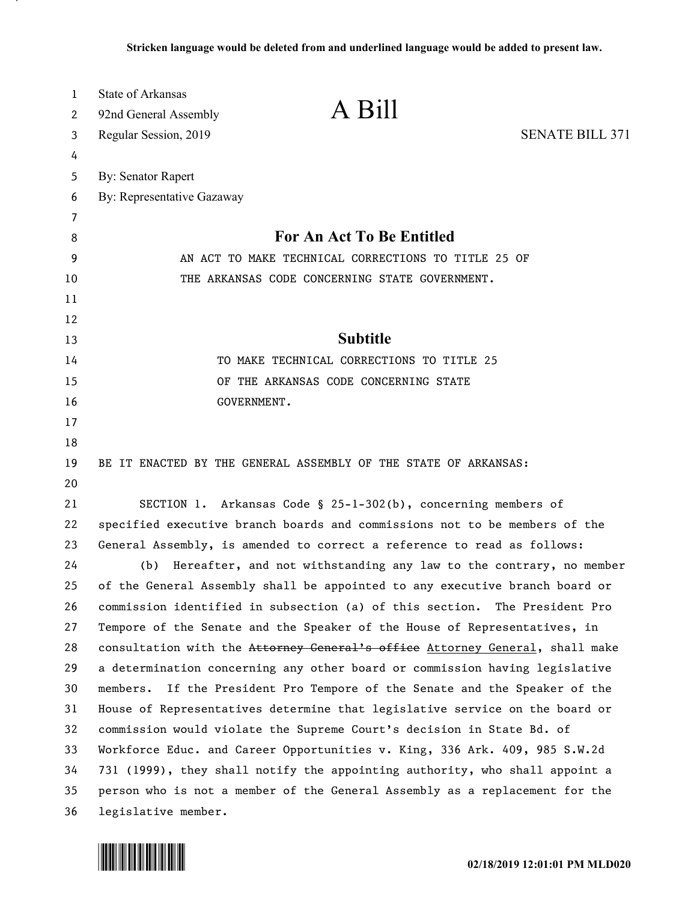| 1  | State of Arkansas                                                            |                        |
|----|------------------------------------------------------------------------------|------------------------|
| 2  | A Bill<br>92nd General Assembly                                              |                        |
| 3  | Regular Session, 2019                                                        | <b>SENATE BILL 371</b> |
| 4  |                                                                              |                        |
| 5  | <b>By: Senator Rapert</b>                                                    |                        |
| 6  | By: Representative Gazaway                                                   |                        |
| 7  |                                                                              |                        |
| 8  | For An Act To Be Entitled                                                    |                        |
| 9  | AN ACT TO MAKE TECHNICAL CORRECTIONS TO TITLE 25 OF                          |                        |
| 10 | THE ARKANSAS CODE CONCERNING STATE GOVERNMENT.                               |                        |
| 11 |                                                                              |                        |
| 12 |                                                                              |                        |
| 13 | <b>Subtitle</b>                                                              |                        |
| 14 | TO MAKE TECHNICAL CORRECTIONS TO TITLE 25                                    |                        |
| 15 | OF THE ARKANSAS CODE CONCERNING STATE                                        |                        |
| 16 | GOVERNMENT.                                                                  |                        |
| 17 |                                                                              |                        |
| 18 |                                                                              |                        |
| 19 | BE IT ENACTED BY THE GENERAL ASSEMBLY OF THE STATE OF ARKANSAS:              |                        |
| 20 |                                                                              |                        |
| 21 | SECTION 1. Arkansas Code § 25-1-302(b), concerning members of                |                        |
| 22 | specified executive branch boards and commissions not to be members of the   |                        |
| 23 | General Assembly, is amended to correct a reference to read as follows:      |                        |
| 24 | Hereafter, and not withstanding any law to the contrary, no member<br>(b)    |                        |
| 25 | of the General Assembly shall be appointed to any executive branch board or  |                        |
| 26 | commission identified in subsection (a) of this section. The President Pro   |                        |
| 27 | Tempore of the Senate and the Speaker of the House of Representatives, in    |                        |
| 28 | consultation with the Attorney General's office Attorney General, shall make |                        |
| 29 | a determination concerning any other board or commission having legislative  |                        |
| 30 | members. If the President Pro Tempore of the Senate and the Speaker of the   |                        |
| 31 | House of Representatives determine that legislative service on the board or  |                        |
| 32 | commission would violate the Supreme Court's decision in State Bd. of        |                        |
| 33 | Workforce Educ. and Career Opportunities v. King, 336 Ark. 409, 985 S.W.2d   |                        |
| 34 | 731 (1999), they shall notify the appointing authority, who shall appoint a  |                        |
| 35 | person who is not a member of the General Assembly as a replacement for the  |                        |
| 36 | legislative member.                                                          |                        |

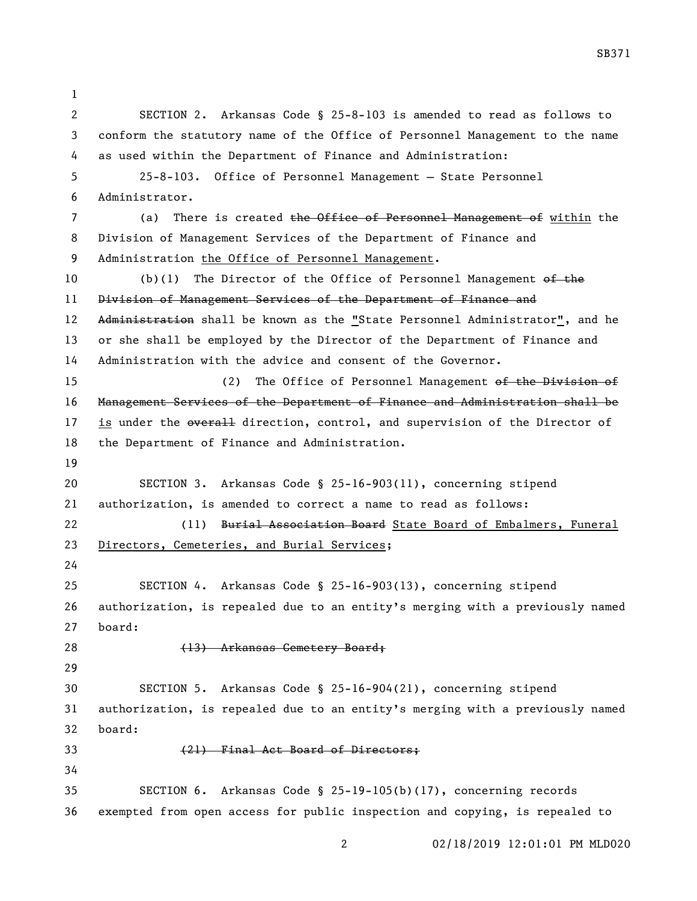SECTION 2. Arkansas Code § 25-8-103 is amended to read as follows to conform the statutory name of the Office of Personnel Management to the name as used within the Department of Finance and Administration: 25-8-103. Office of Personnel Management — State Personnel Administrator. 7 (a) There is created the Office of Personnel Management of within the Division of Management Services of the Department of Finance and Administration the Office of Personnel Management. 10 (b)(1) The Director of the Office of Personnel Management of the 11 Division of Management Services of the Department of Finance and 12 Administration shall be known as the "State Personnel Administrator", and he or she shall be employed by the Director of the Department of Finance and Administration with the advice and consent of the Governor. 15 (2) The Office of Personnel Management of the Division of Management Services of the Department of Finance and Administration shall be 17 is under the everall direction, control, and supervision of the Director of the Department of Finance and Administration. SECTION 3. Arkansas Code § 25-16-903(11), concerning stipend authorization, is amended to correct a name to read as follows: 22 (11) Burial Association Board State Board of Embalmers, Funeral Directors, Cemeteries, and Burial Services; SECTION 4. Arkansas Code § 25-16-903(13), concerning stipend authorization, is repealed due to an entity's merging with a previously named board: 28 (13) Arkansas Cemetery Board; SECTION 5. Arkansas Code § 25-16-904(21), concerning stipend authorization, is repealed due to an entity's merging with a previously named board: (21) Final Act Board of Directors; SECTION 6. Arkansas Code § 25-19-105(b)(17), concerning records exempted from open access for public inspection and copying, is repealed to

SB371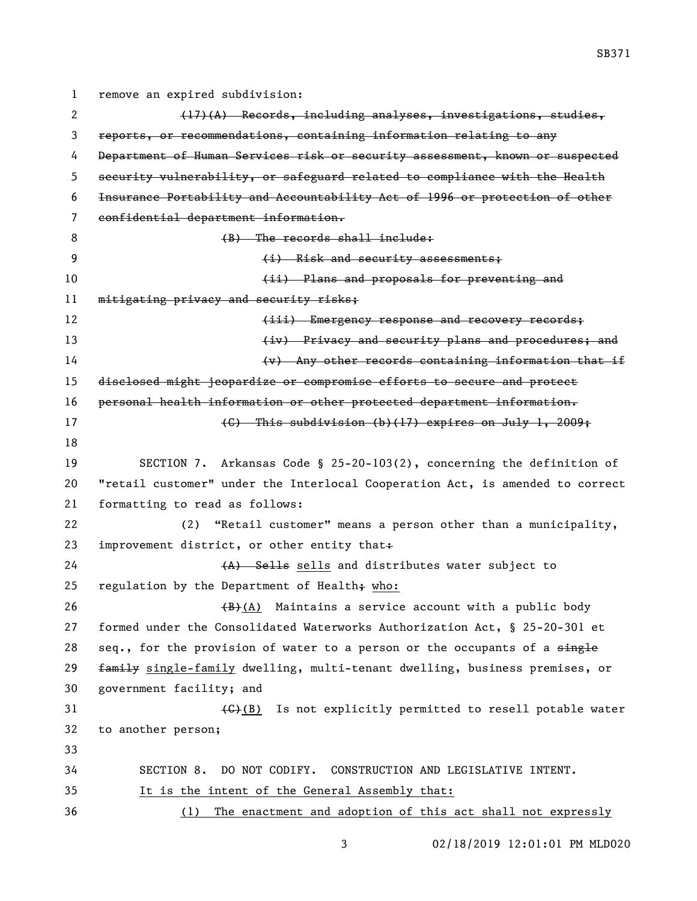remove an expired subdivision: 2 (17)(A) Records, including analyses, investigations, studies, reports, or recommendations, containing information relating to any Department of Human Services risk or security assessment, known or suspected security vulnerability, or safeguard related to compliance with the Health Insurance Portability and Accountability Act of 1996 or protection of other confidential department information. 8 (B) The records shall include: 9 (i) Risk and security assessments; **10 (ii)** Plans and proposals for preventing and 11 mitigating privacy and security risks: **Emergency response and recovery records; 13 Example 2** (iv) Privacy and security plans and procedures; and (v) Any other records containing information that if disclosed might jeopardize or compromise efforts to secure and protect personal health information or other protected department information.  $\left\{\text{G}\right\}$  This subdivision (b)(17) expires on July 1, 2009; SECTION 7. Arkansas Code § 25-20-103(2), concerning the definition of "retail customer" under the Interlocal Cooperation Act, is amended to correct formatting to read as follows: (2) "Retail customer" means a person other than a municipality, 23 improvement district, or other entity that $\div$ 24 (A) Sells sells and distributes water subject to 25 regulation by the Department of Health $\frac{1}{2}$  who:  $(B)+(A)$  Maintains a service account with a public body formed under the Consolidated Waterworks Authorization Act, § 25-20-301 et 28 seq., for the provision of water to a person or the occupants of a  $\frac{1}{2}$  family single-family dwelling, multi-tenant dwelling, business premises, or government facility; and 31 (G)(B) Is not explicitly permitted to resell potable water to another person; SECTION 8. DO NOT CODIFY. CONSTRUCTION AND LEGISLATIVE INTENT. It is the intent of the General Assembly that: (1) The enactment and adoption of this act shall not expressly

02/18/2019 12:01:01 PM MLD020

SB371